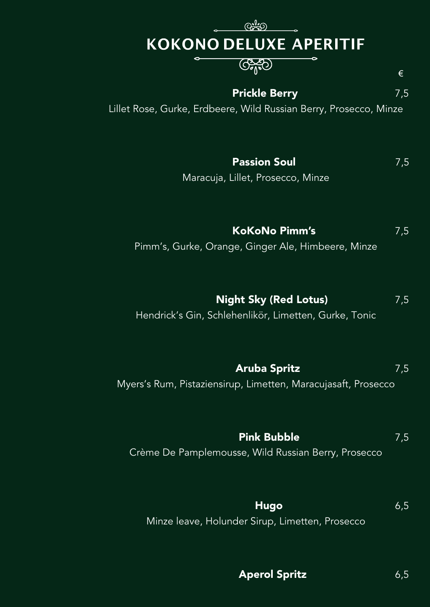# KOKONO DELUXE APERITIF

### $G_{\text{e}}^{\text{A}}(0)$

#### **Prickle Berry** 7,5

€

Lillet Rose, Gurke, Erdbeere, Wild Russian Berry, Prosecco, Minze

**Passion Soul** 7,5

Maracuja, Lillet, Prosecco, Minze

**KoKoNo Pimm's** 7,5

Pimm's, Gurke, Orange, Ginger Ale, Himbeere, Minze

**Night Sky (Red Lotus)** 7,5

Hendrick's Gin, Schlehenlikör, Limetten, Gurke, Tonic

**Aruba Spritz** 7,5 Myers's Rum, Pistaziensirup, Limetten, Maracujasaft, Prosecco

**Pink Bubble** 7,5 Crème De Pamplemousse, Wild Russian Berry, Prosecco

**Hugo** 6,5 Minze leave, Holunder Sirup, Limetten, Prosecco

**Aperol Spritz** 6,5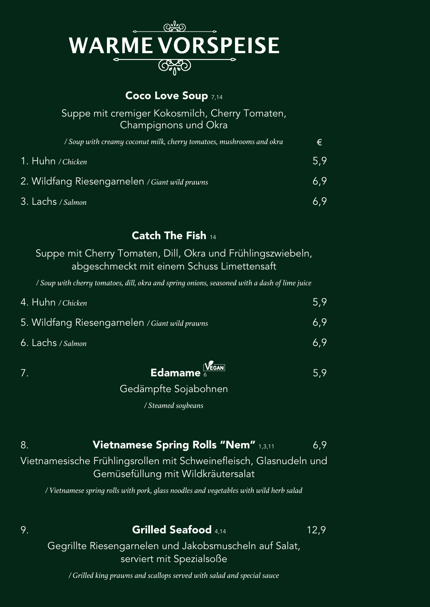

#### **Coco Love Soup** 7,14

#### Suppe mit cremiger Kokosmilch, Cherry Tomaten, Champignons und Okra

| / Soup with creamy coconut milk, cherry tomatoes, mushrooms and okra | €             |
|----------------------------------------------------------------------|---------------|
| 1. Huhn / Chicken                                                    | 5.9           |
| 2. Wildfang Riesengarnelen / Giant wild prawns                       | $6.9^{\circ}$ |
| 3. Lachs / Salmon                                                    | 6.9           |

#### **Catch The Fish** <sup>14</sup>

Suppe mit Cherry Tomaten, Dill, Okra und Frühlingszwiebeln, abgeschmeckt mit einem Schuss Limettensaft

*/ Soup with cherry tomatoes, dill, okra and spring onions, seasoned with a dash of lime juice*

| 4. Huhn / Chicken                              | 5.9 |
|------------------------------------------------|-----|
| 5. Wildfang Riesengarnelen / Giant wild prawns | 6.9 |
| 6. Lachs / Salmon                              | 6.9 |

### $\overline{7}$ . **Edamame**  $\frac{V_{\text{EGAN}}}{\epsilon}$  **Edamame**  $\frac{V_{\text{EGAN}}}{\epsilon}$  5,9

Gedämpfte Sojabohnen

*/ Steamed soybeans*

#### 8. **Vietnamese Spring Rolls "Nem"** 1,3,11 6,9

Vietnamesische Frühlingsrollen mit Schweinefleisch, Glasnudeln und Gemüsefüllung mit Wildkräutersalat

*/ Vietnamese spring rolls with pork, glass noodles and vegetables with wild herb salad*

#### 9. **Grilled Seafood** 4,14 12,9

Gegrillte Riesengarnelen und Jakobsmuscheln auf Salat, serviert mit Spezialsoße

*/ Grilled king prawns and scallops served with salad and special sauce*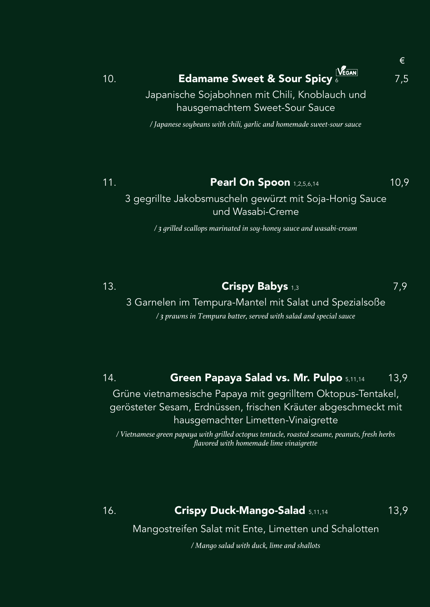# 10. **Edamame Sweet & Sour Spicy** 6 7,5

€

Japanische Sojabohnen mit Chili, Knoblauch und hausgemachtem Sweet-Sour Sauce

*/ Japanese soybeans with chili, garlic and homemade sweet-sour sauce*

### 11. **Pearl On Spoon** 1,2,5,6,14 10,9

3 gegrillte Jakobsmuscheln gewürzt mit Soja-Honig Sauce und Wasabi-Creme

*/ 3 grilled scallops marinated in soy-honey sauce and wasabi-cream*

### 13. **Crispy Babys** 1,3 7,9

3 Garnelen im Tempura-Mantel mit Salat und Spezialsoße */ 3 prawns in Tempura batter, served with salad and special sauce*

#### 14. **Green Papaya Salad vs. Mr. Pulpo** 5,11,14 13,9

Grüne vietnamesische Papaya mit gegrilltem Oktopus-Tentakel, gerösteter Sesam, Erdnüssen, frischen Kräuter abgeschmeckt mit hausgemachter Limetten-Vinaigrette

*/ Vietnamese green papaya with grilled octopus tentacle, roasted sesame, peanuts, fresh herbs flavored with homemade lime vinaigrette*

#### 16. **Crispy Duck-Mango-Salad** 5,11,14 13,9

Mangostreifen Salat mit Ente, Limetten und Schalotten

*/ Mango salad with duck, lime and shallots*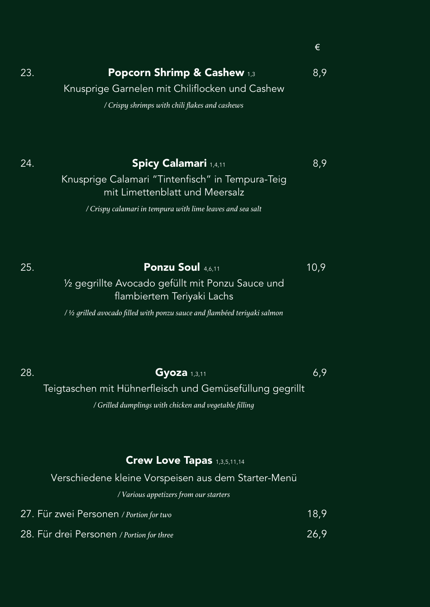| 23. |  |  | <b>Popcorn Shrimp &amp; Cashew 1,3</b> |  | 8,9 |
|-----|--|--|----------------------------------------|--|-----|
|     |  |  |                                        |  |     |

Knusprige Garnelen mit Chiliflocken und Cashew

*/ Crispy shrimps with chili flakes and cashews*

#### **24. Spicy Calamari** 1,4,11 8,9

Knusprige Calamari "Tintenfisch" in Tempura-Teig mit Limettenblatt und Meersalz

*/ Crispy calamari in tempura with lime leaves and sea salt*

#### 25. **Ponzu Soul** 4,6,11 10,9

½ gegrillte Avocado gefüllt mit Ponzu Sauce und flambiertem Teriyaki Lachs

*/ ½ grilled avocado filled with ponzu sauce and flambéed teriyaki salmon*

#### **28. Gyoza** 1,3,11 6,9

€

Teigtaschen mit Hühnerfleisch und Gemüsefüllung gegrillt */ Grilled dumplings with chicken and vegetable filling*

#### **Crew Love Tapas** 1,3,5,11,14

#### Verschiedene kleine Vorspeisen aus dem Starter-Menü

*/ Various appetizers from our starters*

| 27. Für zwei Personen / Portion for two | 18,9 |
|-----------------------------------------|------|
|                                         |      |

28. Für drei Personen */ Portion for three* 26,9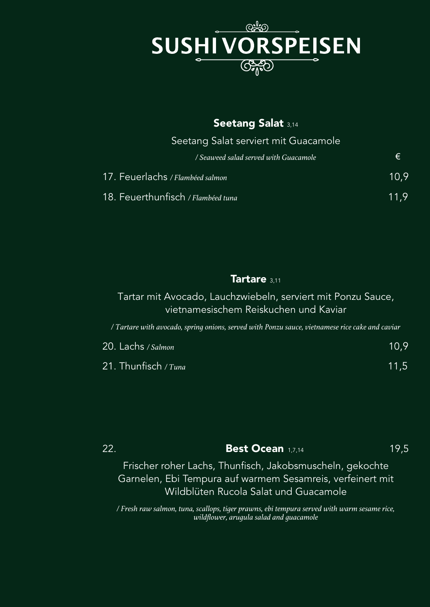

#### **Seetang Salat** 3,14

Seetang Salat serviert mit Guacamole

| / Seaweed salad served with Guacamole | €    |
|---------------------------------------|------|
| 17. Feuerlachs / Flambéed salmon      | 10.9 |
| 18. Feuerthunfisch / Flambéed tuna    | 11.9 |

#### **Tartare** 3,11

Tartar mit Avocado, Lauchzwiebeln, serviert mit Ponzu Sauce, vietnamesischem Reiskuchen und Kaviar

*/ Tartare with avocado, spring onions, served with Ponzu sauce, vietnamese rice cake and caviar*

| 20. Lachs / Salmon     | 10.9 <sup>°</sup> |
|------------------------|-------------------|
| 21. Thunfisch / $Tuna$ | 11.5              |

| 22. | <b>Best Ocean 1,7,14</b> | 19,5 |
|-----|--------------------------|------|
|     |                          |      |

Frischer roher Lachs, Thunfisch, Jakobsmuscheln, gekochte Garnelen, Ebi Tempura auf warmem Sesamreis, verfeinert mit Wildblüten Rucola Salat und Guacamole

*/ Fresh raw salmon, tuna, scallops, tiger prawns, ebi tempura served with warm sesame rice, wildflower, arugula salad and guacamole*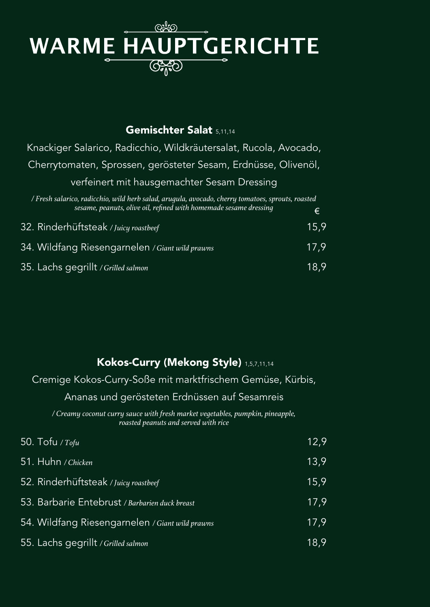### ඥූහ WARME HAUPTGERICHTE CASO

#### **Gemischter Salat** 5,11,14

€ Knackiger Salarico, Radicchio, Wildkräutersalat, Rucola, Avocado, Cherrytomaten, Sprossen, gerösteter Sesam, Erdnüsse, Olivenöl, verfeinert mit hausgemachter Sesam Dressing */ Fresh salarico, radicchio, wild herb salad, arugula, avocado, cherry tomatoes, sprouts, roasted sesame, peanuts, olive oil, refined with homemade sesame dressing*

| 32. Rinderhüftsteak / Juicy roastbeef           | 15.9 |
|-------------------------------------------------|------|
| 34. Wildfang Riesengarnelen / Giant wild prawns | 17.9 |
| 35. Lachs gegrillt / Grilled salmon             | 18.9 |

#### **Kokos-Curry (Mekong Style)** 1,5,7,11,14

Cremige Kokos-Curry-Soße mit marktfrischem Gemüse, Kürbis,

#### Ananas und gerösteten Erdnüssen auf Sesamreis

*/ Creamy coconut curry sauce with fresh market vegetables, pumpkin, pineapple, roasted peanuts and served with rice*

| 50. Tofu / Tofu                                 | 12,9 |
|-------------------------------------------------|------|
| 51. Huhn / Chicken                              | 13,9 |
| 52. Rinderhüftsteak / Juicy roastbeef           | 15,9 |
| 53. Barbarie Entebrust / Barbarien duck breast  | 17,9 |
| 54. Wildfang Riesengarnelen / Giant wild prawns | 17.9 |
| 55. Lachs gegrillt / Grilled salmon             | 18,9 |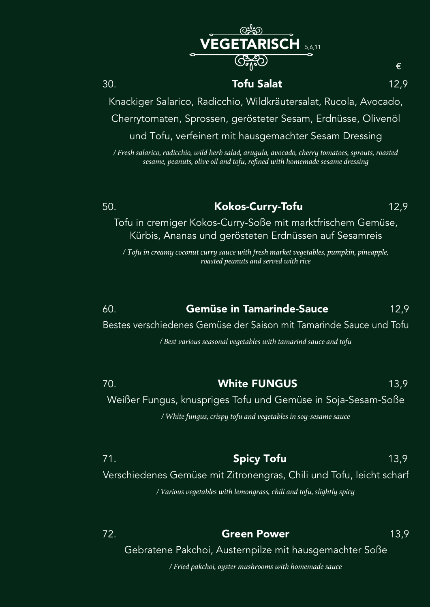**RISCH** 5,6,11

#### 30. **Tofu Salat** 12,9

€

Knackiger Salarico, Radicchio, Wildkräutersalat, Rucola, Avocado, Cherrytomaten, Sprossen, gerösteter Sesam, Erdnüsse, Olivenöl und Tofu, verfeinert mit hausgemachter Sesam Dressing

*/ Fresh salarico, radicchio, wild herb salad, arugula, avocado, cherry tomatoes, sprouts, roasted sesame, peanuts, olive oil and tofu, refined with homemade sesame dressing*

#### 50. **Kokos-Curry-Tofu** 12,9

Tofu in cremiger Kokos-Curry-Soße mit marktfrischem Gemüse, Kürbis, Ananas und gerösteten Erdnüssen auf Sesamreis

*/ Tofu in creamy coconut curry sauce with fresh market vegetables, pumpkin, pineapple, roasted peanuts and served with rice*

### 60. **Gemüse in Tamarinde-Sauce** 12,9

Bestes verschiedenes Gemüse der Saison mit Tamarinde Sauce und Tofu

*/ Best various seasonal vegetables with tamarind sauce and tofu*

### 70. **White FUNGUS** 13,9

Weißer Fungus, knuspriges Tofu und Gemüse in Soja-Sesam-Soße

*/ White fungus, crispy tofu and vegetables in soy-sesame sauce*

#### 71. **Spicy Tofu** 13,9 Verschiedenes Gemüse mit Zitronengras, Chili und Tofu, leicht scharf

*/ Various vegetables with lemongrass, chili and tofu, slightly spicy*

72. **Green Power** 13,9 Gebratene Pakchoi, Austernpilze mit hausgemachter Soße */ Fried pakchoi, oyster mushrooms with homemade sauce*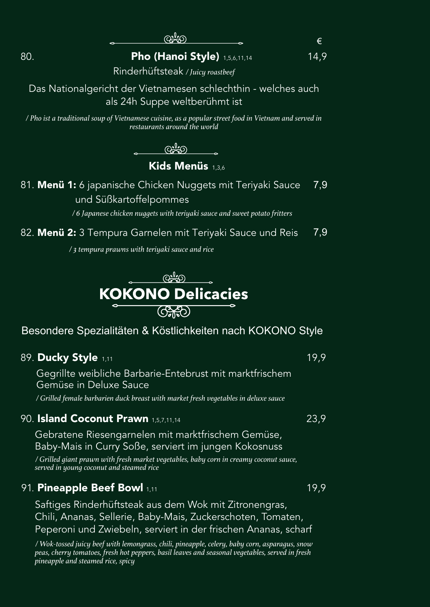€

80. **Pho (Hanoi Style)** 1,5,6,11,14 14,9

Rinderhüftsteak */ Juicy roastbeef*

Das Nationalgericht der Vietnamesen schlechthin - welches auch als 24h Suppe weltberühmt ist

*/ Pho ist a traditional soup of Vietnamese cuisine, as a popular street food in Vietnam and served in restaurants around the world*

ക്ക

#### **Kids Menüs** 1,3,6

7,9 81. **Menü 1:** 6 japanische Chicken Nuggets mit Teriyaki Sauce und Süßkartoffelpommes

*/ 6 Japanese chicken nuggets with teriyaki sauce and sweet potato fritters*

7,9 82. **Menü 2:** 3 Tempura Garnelen mit Teriyaki Sauce und Reis

*/ 3 tempura prawns with teriyaki sauce and rice*



Besondere Spezialitäten & Köstlichkeiten nach KOKONO Style

#### 89. **Ducky Style** 1,11 19,9

Gegrillte weibliche Barbarie-Entebrust mit marktfrischem Gemüse in Deluxe Sauce

*/ Grilled female barbarien duck breast with market fresh vegetables in deluxe sauce*

#### 90. **Island Coconut Prawn** 1,5,7,11,14 23,9

Gebratene Riesengarnelen mit marktfrischem Gemüse, Baby-Mais in Curry Soße, serviert im jungen Kokosnuss

*/ Grilled giant prawn with fresh market vegetables, baby corn in creamy coconut sauce, served in young coconut and steamed rice*

#### 91*.* **Pineapple Beef Bowl** 1,11 19,9

Saftiges Rinderhüftsteak aus dem Wok mit Zitronengras, Chili, Ananas, Sellerie, Baby-Mais, Zuckerschoten, Tomaten, Peperoni und Zwiebeln, serviert in der frischen Ananas, scharf

*/ Wok-tossed juicy beef with lemongrass, chili, pineapple, celery, baby corn, asparagus, snow peas, cherry tomatoes, fresh hot peppers, basil leaves and seasonal vegetables, served in fresh pineapple and steamed rice, spicy*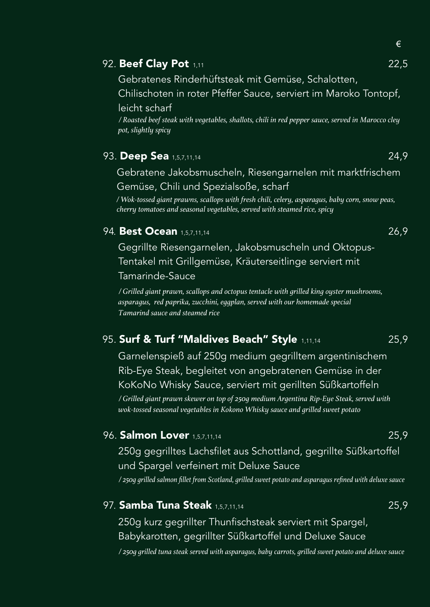#### **92. Beef Clay Pot** 1,11

Gebratenes Rinderhüftsteak mit Gemüse, Schalotten,

Chilischoten in roter Pfeffer Sauce, serviert im Maroko Tontopf, leicht scharf

*/ Roasted beef steak with vegetables, shallots, chili in red pepper sauce, served in Marocco cley pot, slightly spicy*

#### 93. **Deep Sea** 1,5,7,11,14 24,9

Gebratene Jakobsmuscheln, Riesengarnelen mit marktfrischem

Gemüse, Chili und Spezialsoße, scharf

*/ Wok-tossed giant prawns, scallops with fresh chili, celery, asparagus, baby corn, snow peas, cherry tomatoes and seasonal vegetables, served with steamed rice, spicy*

#### 94*.* **Best Ocean** 1,5,7,11,14 26,9

Gegrillte Riesengarnelen, Jakobsmuscheln und Oktopus-Tentakel mit Grillgemüse, Kräuterseitlinge serviert mit

Tamarinde-Sauce

*/ Grilled giant prawn, scallops and octopus tentacle with grilled king oyster mushrooms, asparagus, red paprika, zucchini, eggplan, served with our homemade special Tamarind sauce and steamed rice*

#### 95. **Surf & Turf "Maldives Beach" Style** 1,11,14 25,9

Garnelenspieß auf 250g medium gegrilltem argentinischem Rib-Eye Steak, begleitet von angebratenen Gemüse in der KoKoNo Whisky Sauce, serviert mit gerillten Süßkartoffeln */ Grilled giant prawn skewer on top of 250g medium Argentina Rip-Eye Steak, served with wok-tossed seasonal vegetables in Kokono Whisky sauce and grilled sweet potato*

#### 96. **Salmon Lover** 1,5,7,11,14 25,9

250g gegrilltes Lachsfilet aus Schottland, gegrillte Süßkartoffel und Spargel verfeinert mit Deluxe Sauce

*/ 250g grilled salmon fillet from Scotland, grilled sweet potato and asparagus refined with deluxe sauce*

#### 97*.* **Samba Tuna Steak** 1,5,7,11,14 25,9

250g kurz gegrillter Thunfischsteak serviert mit Spargel, Babykarotten, gegrillter Süßkartoffel und Deluxe Sauce

*/ 250g grilled tuna steak served with asparagus, baby carrots, grilled sweet potato and deluxe sauce*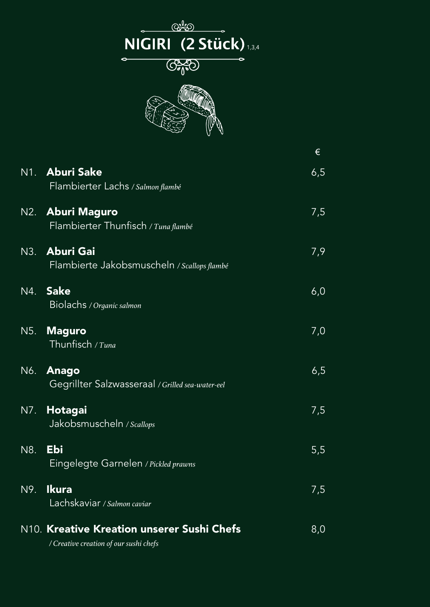

|     |                                                               | €   |
|-----|---------------------------------------------------------------|-----|
|     | N1. Aburi Sake<br>Flambierter Lachs / Salmon flambé           | 6,5 |
|     | N2. Aburi Maguro<br>Flambierter Thunfisch / Tuna flambé       | 7,5 |
|     | N3. Aburi Gai<br>Flambierte Jakobsmuscheln / Scallops flambé  | 7,9 |
|     | N4. Sake<br>Biolachs / Organic salmon                         | 6,0 |
|     | N5. Maguro<br>Thunfisch / Tuna                                | 7,0 |
|     | N6. Anago<br>Gegrillter Salzwasseraal / Grilled sea-water-eel | 6,5 |
|     | N7. Hotagai<br>Jakobsmuscheln / Scallops                      | 7,5 |
| N8. | Ebi<br>Eingelegte Garnelen / Pickled prawns                   | 5,5 |
| N9. | <b>Ikura</b><br>Lachskaviar / Salmon caviar                   | 7,5 |
|     | N10. Kreative Kreation unserer Sushi Chefs                    | 8,0 |

*/ Creative creation of our sushi chefs*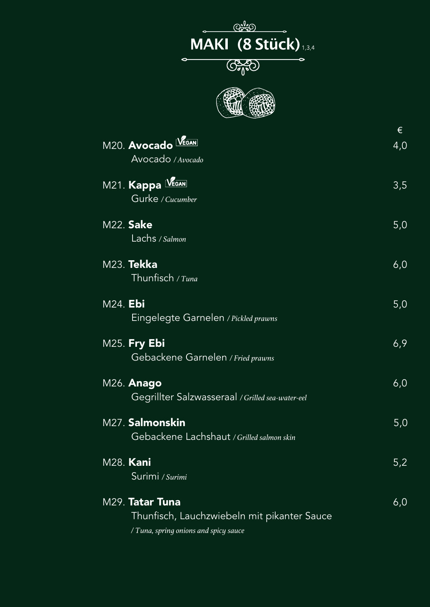## $\overbrace{\text{MAXI}}^{\text{O}^{\text{O}}\text{O}}$  (8 Stück)  $G_{\theta}$  $\epsilon$



| M20. Avocado VEGAN<br>Avocado / Avocado                                                                 | €<br>4,0 |
|---------------------------------------------------------------------------------------------------------|----------|
| M21. Kappa VEGAN<br>Gurke / Cucumber                                                                    | 3,5      |
| <b>M22. Sake</b><br>Lachs / Salmon                                                                      | 5,0      |
| M23. Tekka<br>Thunfisch / Tuna                                                                          | 6,0      |
| M24. Ebi<br>Eingelegte Garnelen / Pickled prawns                                                        | 5,0      |
| <b>M25. Fry Ebi</b><br>Gebackene Garnelen / Fried prawns                                                | 6,9      |
| M26. <b>Anago</b><br>Gegrillter Salzwasseraal / Grilled sea-water-eel                                   | 6,0      |
| M27. Salmonskin<br>Gebackene Lachshaut / Grilled salmon skin                                            | 5,0      |
| M28. Kani<br>Surimi / Surimi                                                                            | 5,2      |
| M29. Tatar Tuna<br>Thunfisch, Lauchzwiebeln mit pikanter Sauce<br>/ Tuna, spring onions and spicy sauce | 6,0      |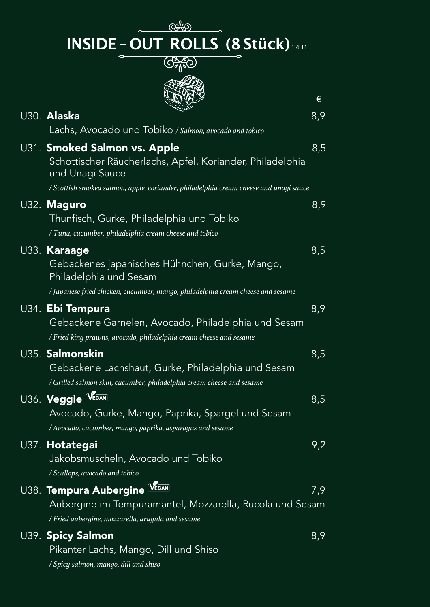<u>ලද්ව</u>  $\overbrace{ {\text{INSIDE - OUT ROLLS}}^{(\text{SVD})} (8 \text{Stück})_{\text{14.11}} }$ 



|                                                                                                                                                                                                       | €   |
|-------------------------------------------------------------------------------------------------------------------------------------------------------------------------------------------------------|-----|
| U30. <b>Alaska</b><br>Lachs, Avocado und Tobiko / Salmon, avocado and tobico                                                                                                                          | 8,9 |
| U31. Smoked Salmon vs. Apple<br>Schottischer Räucherlachs, Apfel, Koriander, Philadelphia<br>und Unagi Sauce<br>/ Scottish smoked salmon, apple, coriander, philadelphia cream cheese and unagi sauce | 8,5 |
| U32. Maguro<br>Thunfisch, Gurke, Philadelphia und Tobiko<br>/ Tuna, cucumber, philadelphia cream cheese and tobico                                                                                    | 8,9 |
| U33. Karaage<br>Gebackenes japanisches Hühnchen, Gurke, Mango,<br>Philadelphia und Sesam<br>/ Japanese fried chicken, cucumber, mango, philadelphia cream cheese and sesame                           | 8,5 |
| U34. <b>Ebi Tempura</b><br>Gebackene Garnelen, Avocado, Philadelphia und Sesam<br>/ Fried king prawns, avocado, philadelphia cream cheese and sesame                                                  | 8,9 |
| U35. <b>Salmonskin</b><br>Gebackene Lachshaut, Gurke, Philadelphia und Sesam<br>/ Grilled salmon skin, cucumber, philadelphia cream cheese and sesame                                                 | 8,5 |
| U36. Veggie VEGAN<br>Avocado, Gurke, Mango, Paprika, Spargel und Sesam<br>/ Avocado, cucumber, mango, paprika, asparagus and sesame                                                                   | 8,5 |
| U37. Hotategai<br>Jakobsmuscheln, Avocado und Tobiko<br>/ Scallops, avocado and tobico                                                                                                                | 9,2 |
| U38. <b>Tempura Aubergine SEGAN</b><br>Aubergine im Tempuramantel, Mozzarella, Rucola und Sesam<br>/ Fried aubergine, mozzarella, arugula and sesame                                                  | 7,9 |
| U39. Spicy Salmon<br>Pikanter Lachs, Mango, Dill und Shiso                                                                                                                                            | 8,9 |

*/ Spicy salmon, mango, dill and shiso*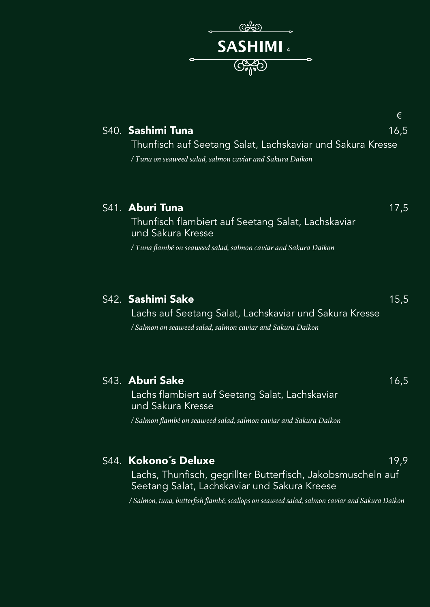

|                                                            | €    |
|------------------------------------------------------------|------|
| S40. Sashimi Tuna                                          | 16,5 |
| Thunfisch auf Seetang Salat, Lachskaviar und Sakura Kresse |      |
| / Tuna on seaweed salad, salmon caviar and Sakura Daikon   |      |
|                                                            |      |
|                                                            |      |
| S41. Aburi Tuna                                            | 17.5 |

Thunfisch flambiert auf Seetang Salat, Lachskaviar und Sakura Kresse */ Tuna flambé on seaweed salad, salmon caviar and Sakura Daikon*

#### S42. **Sashimi Sake** 15,5 Lachs auf Seetang Salat, Lachskaviar und Sakura Kresse */ Salmon on seaweed salad, salmon caviar and Sakura Daikon*

| S43. Aburi Sake<br>Lachs flambiert auf Seetang Salat, Lachskaviar<br>und Sakura Kresse | 16,5 |
|----------------------------------------------------------------------------------------|------|
| / Salmon flambé on seaweed salad, salmon caviar and Sakura Daikon                      |      |
|                                                                                        |      |
| S44. Kokono's Deluxe                                                                   | 19.9 |

Lachs, Thunfisch, gegrillter Butterfisch, Jakobsmuscheln auf Seetang Salat, Lachskaviar und Sakura Kreese

*/ Salmon, tuna, butterfish flambé, scallops on seaweed salad, salmon caviar and Sakura Daikon*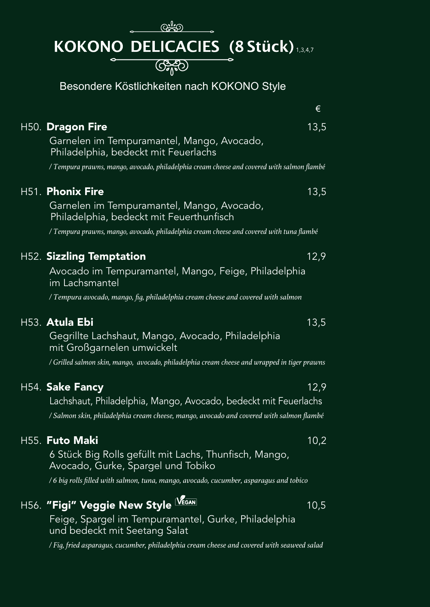# **KOKONO DELICACIES (8 Stück)**

Besondere Köstlichkeiten nach KOKONO Style

|                                                                                              | €    |
|----------------------------------------------------------------------------------------------|------|
| H50. Dragon Fire                                                                             | 13,5 |
| Garnelen im Tempuramantel, Mango, Avocado,<br>Philadelphia, bedeckt mit Feuerlachs           |      |
| / Tempura prawns, mango, avocado, philadelphia cream cheese and covered with salmon flambé   |      |
| H51. Phonix Fire                                                                             | 13,5 |
| Garnelen im Tempuramantel, Mango, Avocado,<br>Philadelphia, bedeckt mit Feuerthunfisch       |      |
| / Tempura prawns, mango, avocado, philadelphia cream cheese and covered with tuna flambé     |      |
| <b>H52. Sizzling Temptation</b>                                                              | 12,9 |
| Avocado im Tempuramantel, Mango, Feige, Philadelphia<br>im Lachsmantel                       |      |
| / Tempura avocado, mango, fig, philadelphia cream cheese and covered with salmon             |      |
| H53. Atula Ebi                                                                               | 13,5 |
| Gegrillte Lachshaut, Mango, Avocado, Philadelphia<br>mit Großgarnelen umwickelt              |      |
| / Grilled salmon skin, mango, avocado, philadelphia cream cheese and wrapped in tiger prawns |      |
| H54. Sake Fancy                                                                              | 12,9 |
| Lachshaut, Philadelphia, Mango, Avocado, bedeckt mit Feuerlachs                              |      |
| / Salmon skin, philadelphia cream cheese, mango, avocado and covered with salmon flambé      |      |
| H55. Futo Maki                                                                               | 10,2 |
| 6 Stück Big Rolls gefüllt mit Lachs, Thunfisch, Mango,<br>Avocado, Gurke, Spargel und Tobiko |      |
| /6 big rolls filled with salmon, tuna, mango, avocado, cucumber, asparagus and tobico        |      |
| H56. "Figi" Veggie New Style VEGAN                                                           | 10,5 |
| Feige, Spargel im Tempuramantel, Gurke, Philadelphia<br>und bedeckt mit Seetang Salat        |      |
| bolish bayyet directly bounded by a coordinate with a commonly                               |      |

*/ Fig, fried asparagus, cucumber, philadelphia cream cheese and covered with seaweed salad*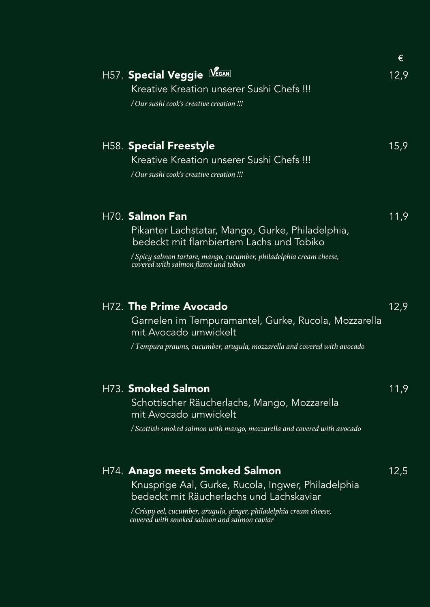|                                                                                                                     | €    |
|---------------------------------------------------------------------------------------------------------------------|------|
| H57. Special Veggie LEGAN                                                                                           | 12,9 |
| Kreative Kreation unserer Sushi Chefs !!!                                                                           |      |
| / Our sushi cook's creative creation !!!                                                                            |      |
| <b>H58. Special Freestyle</b>                                                                                       | 15,9 |
| Kreative Kreation unserer Sushi Chefs !!!<br>/ Our sushi cook's creative creation !!!                               |      |
| H70. Salmon Fan                                                                                                     | 11,9 |
| Pikanter Lachstatar, Mango, Gurke, Philadelphia,<br>bedeckt mit flambiertem Lachs und Tobiko                        |      |
| / Spicy salmon tartare, mango, cucumber, philadelphia cream cheese,<br>covered with salmon flamé und tobico         |      |
| H72. The Prime Avocado                                                                                              | 12,9 |
| Garnelen im Tempuramantel, Gurke, Rucola, Mozzarella<br>mit Avocado umwickelt                                       |      |
| / Tempura prawns, cucumber, arugula, mozzarella and covered with avocado                                            |      |
| H73. Smoked Salmon                                                                                                  | 11,9 |
| Schottischer Räucherlachs, Mango, Mozzarella<br>mit Avocado umwickelt                                               |      |
| / Scottish smoked salmon with mango, mozzarella and covered with avocado                                            |      |
| H74. Anago meets Smoked Salmon                                                                                      | 12,5 |
| Knusprige Aal, Gurke, Rucola, Ingwer, Philadelphia<br>bedeckt mit Räucherlachs und Lachskaviar                      |      |
| / Crispy eel, cucumber, arugula, ginger, philadelphia cream cheese,<br>covered with smoked salmon and salmon caviar |      |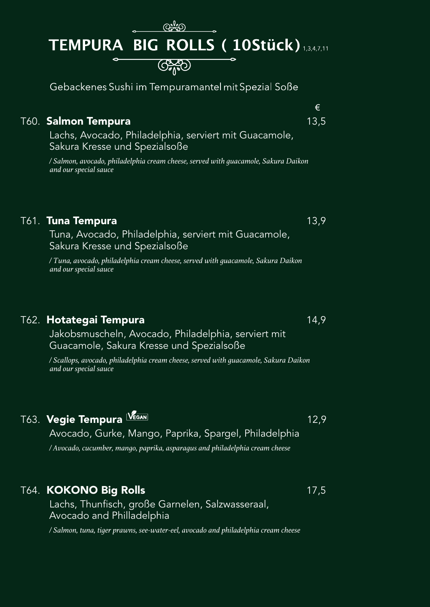# TEMPURA BIG ROLLS (10Stück) 1,3,4,7,11  $G_{\Lambda}^{SO}$

Gebackenes Sushi im Tempuramantel mit Spezial Soße

#### T60. **Salmon Tempura** 13,5

Lachs, Avocado, Philadelphia, serviert mit Guacamole, Sakura Kresse und Spezialsoße

*/ Salmon, avocado, philadelphia cream cheese, served with guacamole, Sakura Daikon and our special sauce*

#### T61. **Tuna Tempura** 13,9

Tuna, Avocado, Philadelphia, serviert mit Guacamole, Sakura Kresse und Spezialsoße

*/ Tuna, avocado, philadelphia cream cheese, served with guacamole, Sakura Daikon and our special sauce*

#### T62. **Hotategai Tempura** 14,9

Jakobsmuscheln, Avocado, Philadelphia, serviert mit Guacamole, Sakura Kresse und Spezialsoße

*/ Scallops, avocado, philadelphia cream cheese, served with guacamole, Sakura Daikon and our special sauce*

### T63. **Vegie Tempura** IVEGAN **12,9**

#### Avocado, Gurke, Mango, Paprika, Spargel, Philadelphia

*/ Avocado, cucumber, mango, paprika, asparagus and philadelphia cream cheese*

#### T64. **KOKONO Big Rolls 17,5**

Lachs, Thunfisch, große Garnelen, Salzwasseraal, Avocado and Philladelphia

*/ Salmon, tuna, tiger prawns, see-water-eel, avocado and philadelphia cream cheese*

€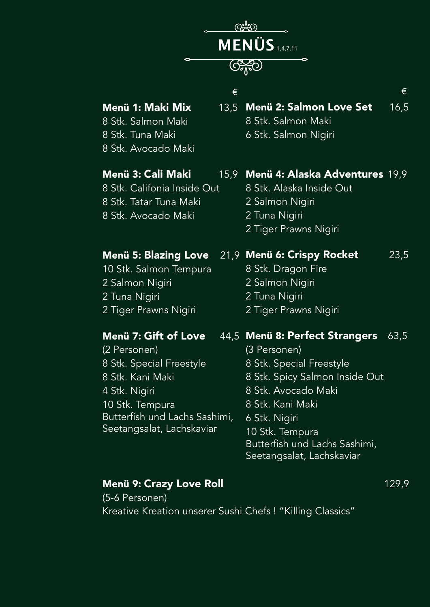

#### **Menü 1: Maki Mix**

8 Stk. Salmon Maki 8 Stk. Tuna Maki 8 Stk. Avocado Maki

#### **Menü 3: Cali Maki** 15,9

8 Stk. Califonia Inside Out 8 Stk. Tatar Tuna Maki 8 Stk. Avocado Maki

#### **Menü 5: Blazing Love**

10 Stk. Salmon Tempura 2 Salmon Nigiri 2 Tuna Nigiri 2 Tiger Prawns Nigiri

#### **Menü 7: Gift of Love**

(2 Personen) 8 Stk. Special Freestyle 8 Stk. Kani Maki 4 Stk. Nigiri 10 Stk. Tempura Butterfish und Lachs Sashimi, Seetangsalat, Lachskaviar

**Menü 2: Salmon Love Set** 16,5 8 Stk. Salmon Maki

6 Stk. Salmon Nigiri

#### **Menü 4: Alaska Adventures** 19,9

8 Stk. Alaska Inside Out 2 Salmon Nigiri 2 Tuna Nigiri 2 Tiger Prawns Nigiri

#### **Menü 6: Crispy Rocket** 23,5

8 Stk. Dragon Fire 2 Salmon Nigiri 2 Tuna Nigiri 2 Tiger Prawns Nigiri

#### **Menü 8: Perfect Strangers** 63,5

(3 Personen) 8 Stk. Special Freestyle 8 Stk. Spicy Salmon Inside Out 8 Stk. Avocado Maki 8 Stk. Kani Maki 6 Stk. Nigiri 10 Stk. Tempura Butterfish und Lachs Sashimi, Seetangsalat, Lachskaviar

#### **Menü 9: Crazy Love Roll** 129,9

(5-6 Personen) Kreative Kreation unserer Sushi Chefs ! "Killing Classics"

 $\epsilon$   $\epsilon$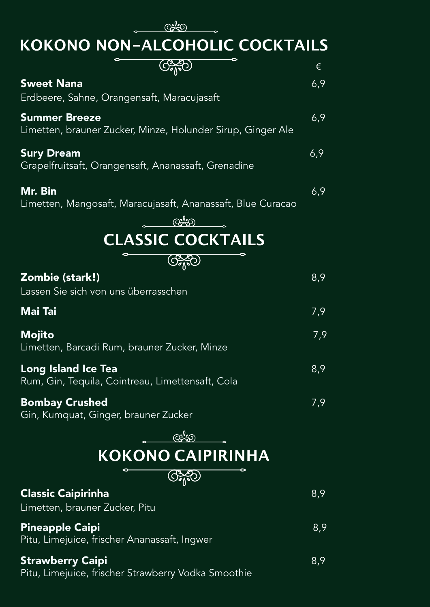**KOKONO NON-ALCOHOLIC COCKTAILS** 

|                                                                                     | €   |
|-------------------------------------------------------------------------------------|-----|
| <b>Sweet Nana</b><br>Erdbeere, Sahne, Orangensaft, Maracujasaft                     | 6,9 |
| <b>Summer Breeze</b><br>Limetten, brauner Zucker, Minze, Holunder Sirup, Ginger Ale | 6,9 |
| <b>Sury Dream</b><br>Grapelfruitsaft, Orangensaft, Ananassaft, Grenadine            | 6,9 |
| Mr. Bin<br>Limetten, Mangosaft, Maracujasaft, Ananassaft, Blue Curacao              | 6,9 |
| <b>CLASSIC COCKTAILS</b>                                                            |     |
|                                                                                     |     |
| <b>GAD</b>                                                                          |     |
| Zombie (stark!)<br>Lassen Sie sich von uns überrasschen                             | 8,9 |
| <b>Mai Tai</b>                                                                      | 7,9 |
| <b>Mojito</b><br>Limetten, Barcadi Rum, brauner Zucker, Minze                       | 7,9 |
| <b>Long Island Ice Tea</b><br>Rum, Gin, Tequila, Cointreau, Limettensaft, Cola      | 8,9 |
| <b>Bombay Crushed</b><br>Gin, Kumquat, Ginger, brauner Zucker                       | 7,9 |
| $Q_{\infty}^{\circ}(\mathcal{O}_{\infty}^{\circ})$                                  |     |
| <b>KOKONO CAIPIRINHA</b>                                                            |     |
| $\left(\frac{1}{2}\right)$                                                          |     |
| <b>Classic Caipirinha</b><br>Limetten, brauner Zucker, Pitu                         | 8,9 |
| <b>Pineapple Caipi</b><br>Pitu, Limejuice, frischer Ananassaft, Ingwer              | 8,9 |
| <b>Strawberry Caipi</b><br>Pitu, Limejuice, frischer Strawberry Vodka Smoothie      | 8,9 |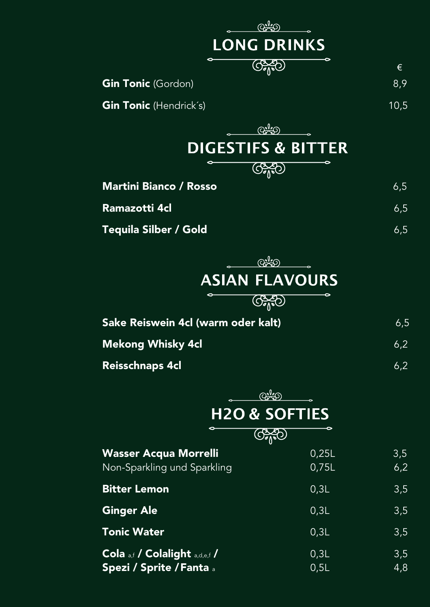| ൙ൣ൦                                |       |      |
|------------------------------------|-------|------|
| <b>LONG DRINKS</b>                 |       |      |
| $G_{\text{A}}^{SO}$                |       | €    |
| <b>Gin Tonic</b> (Gordon)          |       | 8,9  |
| <b>Gin Tonic</b> (Hendrick's)      |       | 10,5 |
| <u> ලැදින</u>                      |       |      |
| <b>DIGESTIFS &amp; BITTER</b>      |       |      |
| $G_{\text{A}}^{SO}$                |       |      |
| <b>Martini Bianco / Rosso</b>      |       | 6,5  |
| Ramazotti 4cl                      |       | 6,5  |
| <b>Tequila Silber / Gold</b>       |       | 6,5  |
| <u>ලැනු)</u>                       |       |      |
| <b>ASIAN FLAVOURS</b>              |       |      |
| $\bigcirc$                         |       |      |
| Sake Reiswein 4cl (warm oder kalt) |       | 6,5  |
| <b>Mekong Whisky 4cl</b>           |       | 6,2  |
| <b>Reisschnaps 4cl</b>             |       | 6,2  |
|                                    |       |      |
| ඥූර<br><b>H2O &amp; SOFTIES</b>    |       |      |
| $\left(\bigodot_{j=1}^{N} \right)$ |       |      |
| <b>Wasser Acqua Morrelli</b>       | 0,25L | 3,5  |
| Non-Sparkling und Sparkling        | 0,75L | 6,2  |
| <b>Bitter Lemon</b>                | 0,3L  | 3,5  |
| <b>Ginger Ale</b>                  | 0,3L  | 3,5  |
| <b>Tonic Water</b>                 | 0,3L  | 3,5  |
| Cola a,f / Colalight a,d,e,f /     | 0,3L  | 3,5  |
| <b>Spezi / Sprite / Fanta</b> a    | 0,5L  | 4,8  |